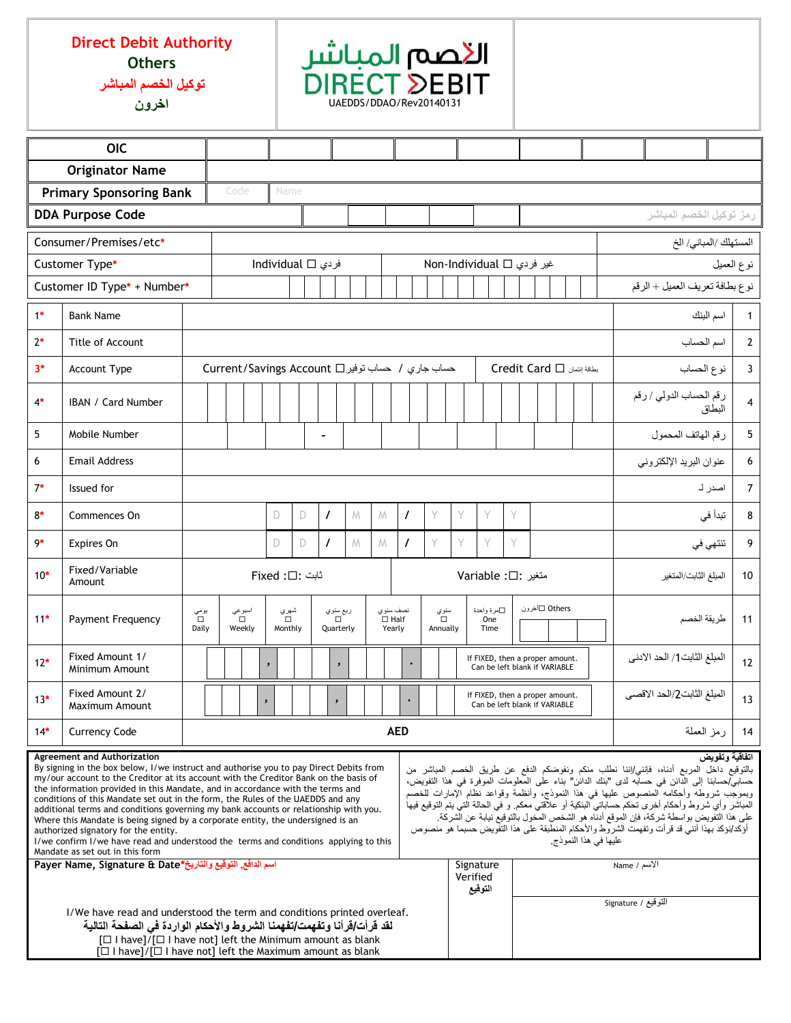## **Direct Debit Authority Others**

**توكيل الخصم المباشر**

**اخرون** UAEDDS/DDAO/Rev20140131

| <b>OIC</b>                                                                                                                                                                                                                                                                                                                                                                                                                                                                                                                                                                                                                                                                                                                                                                                                                                                                                                                                                                                                                                                                                                                                                                                                                                                                                                                                                                                                                                                                                                                                                                                                                                                                                                                                                                                             |                                    |                                        |                                      |                   |                     |                 |    |                       |                                                  |   |                                   |                                                                  |   |                           |                                   |                                                                  |                        |                |                |                                |                             |                    |                                            |                |   |                |
|--------------------------------------------------------------------------------------------------------------------------------------------------------------------------------------------------------------------------------------------------------------------------------------------------------------------------------------------------------------------------------------------------------------------------------------------------------------------------------------------------------------------------------------------------------------------------------------------------------------------------------------------------------------------------------------------------------------------------------------------------------------------------------------------------------------------------------------------------------------------------------------------------------------------------------------------------------------------------------------------------------------------------------------------------------------------------------------------------------------------------------------------------------------------------------------------------------------------------------------------------------------------------------------------------------------------------------------------------------------------------------------------------------------------------------------------------------------------------------------------------------------------------------------------------------------------------------------------------------------------------------------------------------------------------------------------------------------------------------------------------------------------------------------------------------|------------------------------------|----------------------------------------|--------------------------------------|-------------------|---------------------|-----------------|----|-----------------------|--------------------------------------------------|---|-----------------------------------|------------------------------------------------------------------|---|---------------------------|-----------------------------------|------------------------------------------------------------------|------------------------|----------------|----------------|--------------------------------|-----------------------------|--------------------|--------------------------------------------|----------------|---|----------------|
| <b>Originator Name</b>                                                                                                                                                                                                                                                                                                                                                                                                                                                                                                                                                                                                                                                                                                                                                                                                                                                                                                                                                                                                                                                                                                                                                                                                                                                                                                                                                                                                                                                                                                                                                                                                                                                                                                                                                                                 |                                    |                                        |                                      |                   |                     |                 |    |                       |                                                  |   |                                   |                                                                  |   |                           |                                   |                                                                  |                        |                |                |                                |                             |                    |                                            |                |   |                |
|                                                                                                                                                                                                                                                                                                                                                                                                                                                                                                                                                                                                                                                                                                                                                                                                                                                                                                                                                                                                                                                                                                                                                                                                                                                                                                                                                                                                                                                                                                                                                                                                                                                                                                                                                                                                        | <b>Primary Sponsoring Bank</b>     |                                        |                                      | Code              |                     | Name            |    |                       |                                                  |   |                                   |                                                                  |   |                           |                                   |                                                                  |                        |                |                |                                |                             |                    |                                            |                |   |                |
| <b>DDA Purpose Code</b>                                                                                                                                                                                                                                                                                                                                                                                                                                                                                                                                                                                                                                                                                                                                                                                                                                                                                                                                                                                                                                                                                                                                                                                                                                                                                                                                                                                                                                                                                                                                                                                                                                                                                                                                                                                |                                    |                                        |                                      |                   |                     |                 |    |                       |                                                  |   |                                   |                                                                  |   |                           |                                   |                                                                  |                        |                |                | رمز توكيل الخصم المباشر        |                             |                    |                                            |                |   |                |
| Consumer/Premises/etc*                                                                                                                                                                                                                                                                                                                                                                                                                                                                                                                                                                                                                                                                                                                                                                                                                                                                                                                                                                                                                                                                                                                                                                                                                                                                                                                                                                                                                                                                                                                                                                                                                                                                                                                                                                                 |                                    |                                        |                                      |                   |                     |                 |    |                       |                                                  |   |                                   |                                                                  |   |                           |                                   |                                                                  | المستهلك /المباني/ الخ |                |                |                                |                             |                    |                                            |                |   |                |
| Customer Type*                                                                                                                                                                                                                                                                                                                                                                                                                                                                                                                                                                                                                                                                                                                                                                                                                                                                                                                                                                                                                                                                                                                                                                                                                                                                                                                                                                                                                                                                                                                                                                                                                                                                                                                                                                                         |                                    |                                        |                                      | individual □ فردي |                     |                 |    |                       |                                                  |   |                                   |                                                                  |   | غیر فردی ∏ Non-Individual |                                   |                                                                  |                        |                |                | نوع العميل                     |                             |                    |                                            |                |   |                |
| Customer ID Type* + Number*                                                                                                                                                                                                                                                                                                                                                                                                                                                                                                                                                                                                                                                                                                                                                                                                                                                                                                                                                                                                                                                                                                                                                                                                                                                                                                                                                                                                                                                                                                                                                                                                                                                                                                                                                                            |                                    |                                        |                                      |                   |                     |                 |    |                       |                                                  |   |                                   |                                                                  |   |                           |                                   |                                                                  |                        |                |                | نوع بطافة تعريف العميل + الرقم |                             |                    |                                            |                |   |                |
| $1*$                                                                                                                                                                                                                                                                                                                                                                                                                                                                                                                                                                                                                                                                                                                                                                                                                                                                                                                                                                                                                                                                                                                                                                                                                                                                                                                                                                                                                                                                                                                                                                                                                                                                                                                                                                                                   | <b>Bank Name</b>                   |                                        |                                      |                   |                     |                 |    |                       |                                                  |   |                                   |                                                                  |   |                           |                                   | اسم البنك                                                        |                        |                |                | 1                              |                             |                    |                                            |                |   |                |
| $2*$                                                                                                                                                                                                                                                                                                                                                                                                                                                                                                                                                                                                                                                                                                                                                                                                                                                                                                                                                                                                                                                                                                                                                                                                                                                                                                                                                                                                                                                                                                                                                                                                                                                                                                                                                                                                   |                                    |                                        |                                      |                   |                     |                 |    |                       |                                                  |   |                                   |                                                                  |   |                           |                                   |                                                                  | اسم الحساب             |                | $\overline{2}$ |                                |                             |                    |                                            |                |   |                |
| $3*$                                                                                                                                                                                                                                                                                                                                                                                                                                                                                                                                                                                                                                                                                                                                                                                                                                                                                                                                                                                                                                                                                                                                                                                                                                                                                                                                                                                                                                                                                                                                                                                                                                                                                                                                                                                                   | Account Type                       |                                        |                                      |                   |                     |                 |    |                       | حساب جاري / حساب توفير Current/Savings Account D |   |                                   |                                                                  |   |                           | بطقة إنتمان Credit Card $\square$ |                                                                  |                        |                |                | نوع الحساب                     |                             |                    |                                            | $\overline{3}$ |   |                |
| $4*$                                                                                                                                                                                                                                                                                                                                                                                                                                                                                                                                                                                                                                                                                                                                                                                                                                                                                                                                                                                                                                                                                                                                                                                                                                                                                                                                                                                                                                                                                                                                                                                                                                                                                                                                                                                                   | <b>IBAN / Card Number</b>          |                                        |                                      |                   |                     |                 |    |                       |                                                  |   |                                   |                                                                  |   |                           |                                   |                                                                  |                        |                |                |                                |                             |                    | رقم الحساب الدول <i>ي / ر</i> قم<br>البطاق |                |   | $\overline{4}$ |
| 5                                                                                                                                                                                                                                                                                                                                                                                                                                                                                                                                                                                                                                                                                                                                                                                                                                                                                                                                                                                                                                                                                                                                                                                                                                                                                                                                                                                                                                                                                                                                                                                                                                                                                                                                                                                                      | Mobile Number                      |                                        |                                      |                   |                     |                 |    | $\blacksquare$        |                                                  |   |                                   |                                                                  |   |                           |                                   |                                                                  |                        |                |                |                                |                             | رقم الهاتف المحمول |                                            |                | 5 |                |
| 6                                                                                                                                                                                                                                                                                                                                                                                                                                                                                                                                                                                                                                                                                                                                                                                                                                                                                                                                                                                                                                                                                                                                                                                                                                                                                                                                                                                                                                                                                                                                                                                                                                                                                                                                                                                                      | <b>Email Address</b>               |                                        |                                      |                   |                     |                 |    |                       |                                                  |   |                                   | عنوان البريد الإلكتروني                                          |   |                           |                                   |                                                                  |                        |                |                |                                |                             |                    |                                            |                |   |                |
| $7*$                                                                                                                                                                                                                                                                                                                                                                                                                                                                                                                                                                                                                                                                                                                                                                                                                                                                                                                                                                                                                                                                                                                                                                                                                                                                                                                                                                                                                                                                                                                                                                                                                                                                                                                                                                                                   | Issued for                         |                                        |                                      |                   |                     |                 |    |                       |                                                  |   |                                   |                                                                  |   | اصدر لـ                   |                                   |                                                                  |                        | $\overline{7}$ |                |                                |                             |                    |                                            |                |   |                |
| $8*$                                                                                                                                                                                                                                                                                                                                                                                                                                                                                                                                                                                                                                                                                                                                                                                                                                                                                                                                                                                                                                                                                                                                                                                                                                                                                                                                                                                                                                                                                                                                                                                                                                                                                                                                                                                                   | Commences On                       |                                        |                                      |                   |                     | D               | D. | $\prime$              | M                                                | M |                                   | $\prime$                                                         | Υ | Y                         | Y                                 | Y                                                                |                        |                |                |                                |                             |                    |                                            | تبدأ في        | 8 |                |
| 9*                                                                                                                                                                                                                                                                                                                                                                                                                                                                                                                                                                                                                                                                                                                                                                                                                                                                                                                                                                                                                                                                                                                                                                                                                                                                                                                                                                                                                                                                                                                                                                                                                                                                                                                                                                                                     | Expires On                         |                                        |                                      |                   |                     | D               | D  | $\prime$              | M                                                | M |                                   | $\prime$                                                         | Y | Y                         | Y                                 | Y                                                                |                        |                |                |                                |                             | تنتهي في           |                                            |                | 9 |                |
| $10*$                                                                                                                                                                                                                                                                                                                                                                                                                                                                                                                                                                                                                                                                                                                                                                                                                                                                                                                                                                                                                                                                                                                                                                                                                                                                                                                                                                                                                                                                                                                                                                                                                                                                                                                                                                                                  | Fixed/Variable<br>Amount           |                                        | ثابت :□: Fixed<br>متغير: Variable :□ |                   |                     |                 |    |                       |                                                  |   | المبلغ الثابت/المتغير             |                                                                  |   |                           | 10                                |                                                                  |                        |                |                |                                |                             |                    |                                            |                |   |                |
| $11*$                                                                                                                                                                                                                                                                                                                                                                                                                                                                                                                                                                                                                                                                                                                                                                                                                                                                                                                                                                                                                                                                                                                                                                                                                                                                                                                                                                                                                                                                                                                                                                                                                                                                                                                                                                                                  | <b>Payment Frequency</b>           | اسبوعي<br>يومي<br>□<br>Daily<br>Weekly |                                      |                   |                     | شهري<br>Monthly |    | ربع سنوي<br>Quarterly |                                                  |   | نصف سنوي<br>$\Box$ Half<br>Yearly | سنوي<br>$\Box$<br>Annually                                       |   |                           | ∏مرة واحدة<br>One<br>Time         |                                                                  |                        | Others □أخرون  |                |                                |                             | طر يقة الخصم       |                                            |                |   | 11             |
| $12*$                                                                                                                                                                                                                                                                                                                                                                                                                                                                                                                                                                                                                                                                                                                                                                                                                                                                                                                                                                                                                                                                                                                                                                                                                                                                                                                                                                                                                                                                                                                                                                                                                                                                                                                                                                                                  | Fixed Amount 1/<br>Minimum Amount  |                                        |                                      |                   | $\pmb{\mathcal{Y}}$ |                 |    |                       | $\lambda$                                        |   |                                   |                                                                  |   |                           |                                   | If FIXED, then a proper amount.<br>Can be left blank if VARIABLE |                        |                |                |                                | المبلغ الثابت1/ الحد الادنى |                    |                                            | 12             |   |                |
| $13*$                                                                                                                                                                                                                                                                                                                                                                                                                                                                                                                                                                                                                                                                                                                                                                                                                                                                                                                                                                                                                                                                                                                                                                                                                                                                                                                                                                                                                                                                                                                                                                                                                                                                                                                                                                                                  | Fixed Amount 2/<br>Maximum Amount  |                                        |                                      |                   | $\, \,$             |                 |    | $\lambda$             |                                                  |   |                                   | If FIXED, then a proper amount.<br>Can be left blank if VARIABLE |   |                           |                                   |                                                                  |                        |                |                |                                | المبلغ الثابت2/الحد الاقصى  |                    |                                            | 13             |   |                |
| $14*$                                                                                                                                                                                                                                                                                                                                                                                                                                                                                                                                                                                                                                                                                                                                                                                                                                                                                                                                                                                                                                                                                                                                                                                                                                                                                                                                                                                                                                                                                                                                                                                                                                                                                                                                                                                                  | <b>Currency Code</b><br><b>AED</b> |                                        |                                      |                   |                     |                 |    |                       |                                                  |   | رمز العملة                        |                                                                  |   | 14                        |                                   |                                                                  |                        |                |                |                                |                             |                    |                                            |                |   |                |
| اتفاقية وتفويض<br>Agreement and Authorization<br>By signing in the box below, I/we instruct and authorise you to pay Direct Debits from<br>بالتوقيع داخل المربع أدناه، فإنني/إننا نطلب منكع ونفوضكم الدفع عن طريق الخصم المباشر من<br>my/our account to the Creditor at its account with the Creditor Bank on the basis of<br>حسابي/حسابنا إلى الدائن في حسابه لدى "بنك الدائن" بناء على المعلومات الموفرة في هذا التفويض،<br>the information provided in this Mandate, and in accordance with the terms and<br>وبموجَّب شروطهٌ وأحكامه "المنصوص عليها في هذا النموذج، وأنظمة وقواعد نظام الإمارات للخصم<br>conditions of this Mandate set out in the form, the Rules of the UAEDDS and any<br>المباشر وأي شروط وأحكام أخرى تحكم حساباتي البنكية أو علاقتي معكم. و في الحالة التي يتم التوقيع فيها<br>additional terms and conditions governing my bank accounts or relationship with you.<br>على هذا التَّفويض بواسطة شركة، فإن الموقع أدنَّاه هو الشَّخص المُّخول بالتوقيعُ نيابة عن الشَّركة.<br>Where this Mandate is being signed by a corporate entity, the undersigned is an<br>أؤكد/نؤكد بهذا أنني قد قرأت وتفهمت الشروط والأحكام المنطبقة على هذا التفويض حسبما هو منصوص<br>authorized signatory for the entity.<br>عليها في هذا النموذج.<br>I/we confirm I/we have read and understood the terms and conditions applying to this<br>Mandate as set out in this form<br>اسم الدافع, التوقيع والتاريخ*Payer Name, Signature & Date<br>Signature<br>الأسم / Name<br>Verified<br>التوقيع<br>التوقيع / Signature<br>I/We have read and understood the term and conditions printed overleaf.<br>لقد قرأت/قرأنا وتفهمت/تفهمنا الشروط والأحكام الواردة فى الصفحة التالية<br>[□ I have]/[□ I have not] left the Minimum amount as blank<br>[□ I have]/[□ I have not] left the Maximum amount as blank |                                    |                                        |                                      |                   |                     |                 |    |                       |                                                  |   |                                   |                                                                  |   |                           |                                   |                                                                  |                        |                |                |                                |                             |                    |                                            |                |   |                |

<mark>الأحمم المباشر</mark><br>DIRECT DEBIT